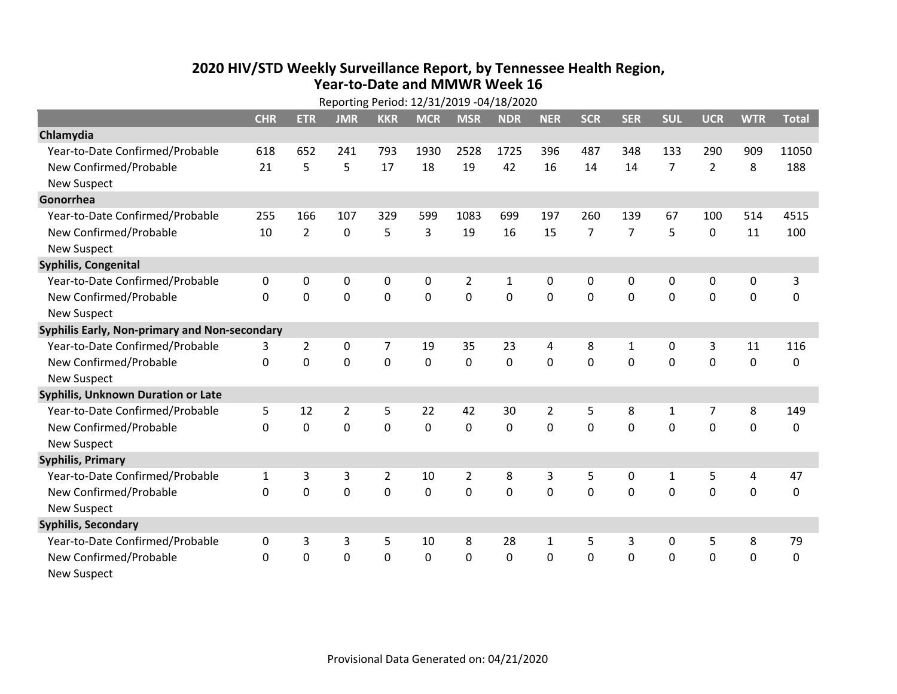## **2020 HIV /STD Weekly Surveillance Report, by Tennessee Health Region, Year‐to‐Date and MMWR Week 16**  $\ddot{\phantom{a}}$

|                                               | Reporting Period: 12/31/2019 -04/18/2020 |                |                |                |             |                |             |                |                |                |                |                |             |              |
|-----------------------------------------------|------------------------------------------|----------------|----------------|----------------|-------------|----------------|-------------|----------------|----------------|----------------|----------------|----------------|-------------|--------------|
|                                               | <b>CHR</b>                               | <b>ETR</b>     | <b>JMR</b>     | <b>KKR</b>     | <b>MCR</b>  | <b>MSR</b>     | <b>NDR</b>  | <b>NER</b>     | <b>SCR</b>     | <b>SER</b>     | <b>SUL</b>     | <b>UCR</b>     | <b>WTR</b>  | <b>Total</b> |
| Chlamydia                                     |                                          |                |                |                |             |                |             |                |                |                |                |                |             |              |
| Year-to-Date Confirmed/Probable               | 618                                      | 652            | 241            | 793            | 1930        | 2528           | 1725        | 396            | 487            | 348            | 133            | 290            | 909         | 11050        |
| New Confirmed/Probable                        | 21                                       | 5              | 5              | 17             | 18          | 19             | 42          | 16             | 14             | 14             | $\overline{7}$ | $\overline{2}$ | 8           | 188          |
| <b>New Suspect</b>                            |                                          |                |                |                |             |                |             |                |                |                |                |                |             |              |
| Gonorrhea                                     |                                          |                |                |                |             |                |             |                |                |                |                |                |             |              |
| Year-to-Date Confirmed/Probable               | 255                                      | 166            | 107            | 329            | 599         | 1083           | 699         | 197            | 260            | 139            | 67             | 100            | 514         | 4515         |
| New Confirmed/Probable                        | 10                                       | $\overline{2}$ | 0              | 5              | 3           | 19             | 16          | 15             | $\overline{7}$ | $\overline{7}$ | 5              | 0              | 11          | 100          |
| <b>New Suspect</b>                            |                                          |                |                |                |             |                |             |                |                |                |                |                |             |              |
| Syphilis, Congenital                          |                                          |                |                |                |             |                |             |                |                |                |                |                |             |              |
| Year-to-Date Confirmed/Probable               | 0                                        | 0              | 0              | 0              | 0           | $\overline{2}$ | 1           | 0              | 0              | $\mathbf{0}$   | 0              | 0              | 0           | 3            |
| New Confirmed/Probable                        | $\Omega$                                 | $\Omega$       | 0              | 0              | $\mathbf 0$ | $\mathbf 0$    | $\mathbf 0$ | $\Omega$       | $\Omega$       | $\mathbf{0}$   | $\Omega$       | $\mathbf 0$    | $\mathbf 0$ | 0            |
| <b>New Suspect</b>                            |                                          |                |                |                |             |                |             |                |                |                |                |                |             |              |
| Syphilis Early, Non-primary and Non-secondary |                                          |                |                |                |             |                |             |                |                |                |                |                |             |              |
| Year-to-Date Confirmed/Probable               | 3                                        | $\overline{2}$ | 0              | 7              | 19          | 35             | 23          | 4              | 8              | 1              | 0              | 3              | 11          | 116          |
| New Confirmed/Probable                        | $\Omega$                                 | $\mathbf 0$    | $\mathbf 0$    | 0              | 0           | $\mathbf 0$    | 0           | $\Omega$       | $\Omega$       | $\mathbf 0$    | 0              | $\mathbf 0$    | $\mathbf 0$ | 0            |
| <b>New Suspect</b>                            |                                          |                |                |                |             |                |             |                |                |                |                |                |             |              |
| Syphilis, Unknown Duration or Late            |                                          |                |                |                |             |                |             |                |                |                |                |                |             |              |
| Year-to-Date Confirmed/Probable               | 5                                        | 12             | $\overline{2}$ | 5              | 22          | 42             | 30          | $\overline{2}$ | 5              | 8              | 1              | $\overline{7}$ | 8           | 149          |
| New Confirmed/Probable                        | $\mathbf{0}$                             | 0              | 0              | 0              | $\mathbf 0$ | 0              | $\Omega$    | $\Omega$       | $\Omega$       | $\mathbf 0$    | $\mathbf 0$    | $\mathbf 0$    | $\mathbf 0$ | 0            |
| <b>New Suspect</b>                            |                                          |                |                |                |             |                |             |                |                |                |                |                |             |              |
| <b>Syphilis, Primary</b>                      |                                          |                |                |                |             |                |             |                |                |                |                |                |             |              |
| Year-to-Date Confirmed/Probable               | $\mathbf{1}$                             | 3              | 3              | $\overline{2}$ | 10          | $\overline{2}$ | 8           | 3              | 5              | 0              | 1              | 5              | 4           | 47           |
| New Confirmed/Probable                        | 0                                        | $\mathbf 0$    | 0              | 0              | $\mathbf 0$ | $\mathbf 0$    | $\Omega$    | $\Omega$       | $\Omega$       | $\Omega$       | $\mathbf 0$    | $\mathbf 0$    | $\mathbf 0$ | 0            |
| <b>New Suspect</b>                            |                                          |                |                |                |             |                |             |                |                |                |                |                |             |              |
| <b>Syphilis, Secondary</b>                    |                                          |                |                |                |             |                |             |                |                |                |                |                |             |              |
| Year-to-Date Confirmed/Probable               | 0                                        | 3              | 3              | 5              | 10          | 8              | 28          | $\mathbf{1}$   | 5              | 3              | 0              | 5              | 8           | 79           |
| New Confirmed/Probable                        | $\Omega$                                 | 0              | 0              | 0              | 0           | 0              | 0           | $\Omega$       | $\Omega$       | $\mathbf 0$    | 0              | $\mathbf 0$    | $\mathbf 0$ | 0            |
| <b>New Suspect</b>                            |                                          |                |                |                |             |                |             |                |                |                |                |                |             |              |